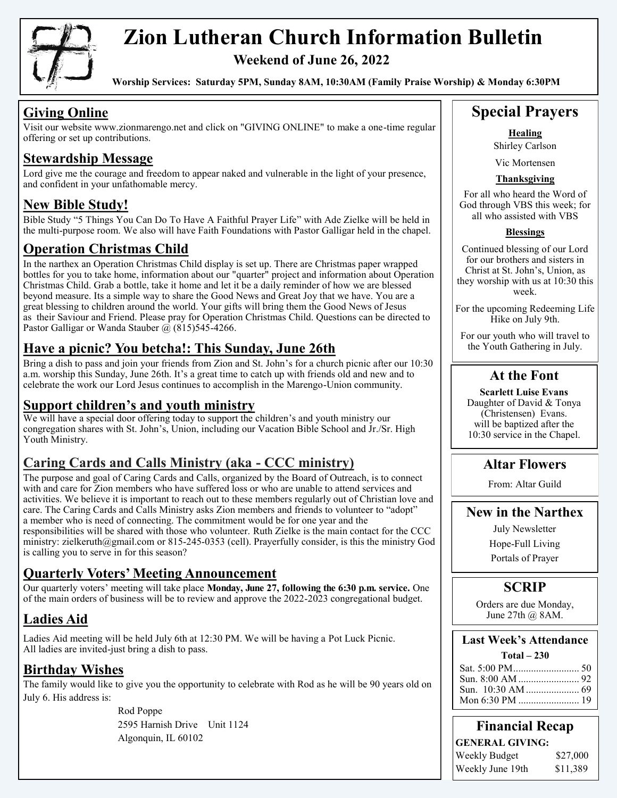

# **Zion Lutheran Church Information Bulletin**

**Weekend of June 26, 2022**

**Worship Services: Saturday 5PM, Sunday 8AM, 10:30AM (Family Praise Worship) & Monday 6:30PM**

## **Giving Online**

Visit our website www.zionmarengo.net and click on "GIVING ONLINE" to make a one-time regular offering or set up contributions.

#### **Stewardship Message**

Lord give me the courage and freedom to appear naked and vulnerable in the light of your presence, and confident in your unfathomable mercy.

#### **New Bible Study!**

Bible Study "5 Things You Can Do To Have A Faithful Prayer Life" with Ade Zielke will be held in the multi-purpose room. We also will have Faith Foundations with Pastor Galligar held in the chapel.

#### **Operation Christmas Child**

In the narthex an Operation Christmas Child display is set up. There are Christmas paper wrapped bottles for you to take home, information about our "quarter" project and information about Operation Christmas Child. Grab a bottle, take it home and let it be a daily reminder of how we are blessed beyond measure. Its a simple way to share the Good News and Great Joy that we have. You are a great blessing to children around the world. Your gifts will bring them the Good News of Jesus as their Saviour and Friend. Please pray for Operation Christmas Child. Questions can be directed to Pastor Galligar or Wanda Stauber  $\omega$  (815)545-4266.

### **Have a picnic? You betcha!: This Sunday, June 26th**

Bring a dish to pass and join your friends from Zion and St. John's for a church picnic after our 10:30 a.m. worship this Sunday, June 26th. It's a great time to catch up with friends old and new and to celebrate the work our Lord Jesus continues to accomplish in the Marengo-Union community.

#### **Support children's and youth ministry**

We will have a special door offering today to support the children's and youth ministry our congregation shares with St. John's, Union, including our Vacation Bible School and Jr./Sr. High Youth Ministry.

#### **Caring Cards and Calls Ministry (aka - CCC ministry)**

The purpose and goal of Caring Cards and Calls, organized by the Board of Outreach, is to connect with and care for Zion members who have suffered loss or who are unable to attend services and activities. We believe it is important to reach out to these members regularly out of Christian love and care. The Caring Cards and Calls Ministry asks Zion members and friends to volunteer to "adopt" a member who is need of connecting. The commitment would be for one year and the responsibilities will be shared with those who volunteer. Ruth Zielke is the main contact for the CCC ministry: zielkeruth@gmail.com or 815-245-0353 (cell). Prayerfully consider, is this the ministry God is calling you to serve in for this season?

#### **Quarterly Voters' Meeting Announcement**

Our quarterly voters' meeting will take place **Monday, June 27, following the 6:30 p.m. service.** One of the main orders of business will be to review and approve the 2022-2023 congregational budget.

## **Ladies Aid**

Ladies Aid meeting will be held July 6th at 12:30 PM. We will be having a Pot Luck Picnic. All ladies are invited-just bring a dish to pass.

## **Birthday Wishes**

The family would like to give you the opportunity to celebrate with Rod as he will be 90 years old on July 6. His address is:

> Rod Poppe 2595 Harnish Drive Unit 1124 Algonquin, IL 60102

## **Special Prayers**

**Healing** Shirley Carlson

Vic Mortensen

#### **Thanksgiving**

For all who heard the Word of God through VBS this week; for all who assisted with VBS

#### **Blessings**

Continued blessing of our Lord for our brothers and sisters in Christ at St. John's, Union, as they worship with us at 10:30 this week.

For the upcoming Redeeming Life Hike on July 9th.

For our youth who will travel to the Youth Gathering in July.

#### **At the Font**

**Scarlett Luise Evans** Daughter of David & Tonya (Christensen) Evans. will be baptized after the 10:30 service in the Chapel.

#### **Altar Flowers**

From: Altar Guild

#### **New in the Narthex**

July Newsletter Hope-Full Living

Portals of Prayer

#### **SCRIP**

Orders are due Monday, June 27th @ 8AM.

#### **Last Week's Attendance**

#### **Total – 230**

**Financial Recap GENERAL GIVING:** Weekly Budget \$27,000 Weekly June 19th \$11,389